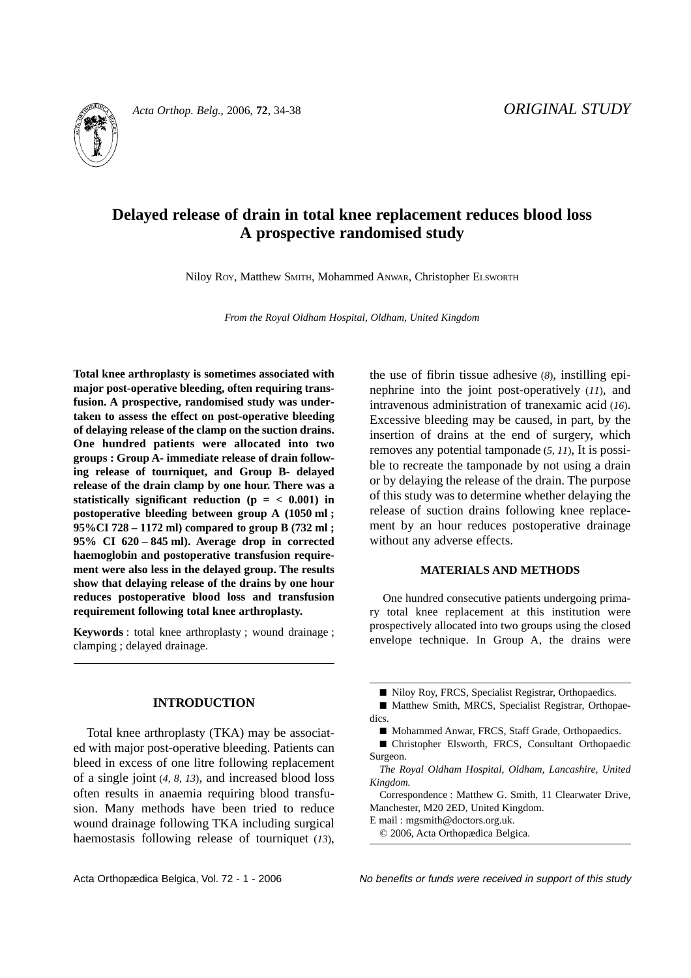

*Acta Orthop. Belg.*, 2006, **72**, 34-38 *ORIGINAL STUDY*

# **Delayed release of drain in total knee replacement reduces blood loss A prospective randomised study**

Niloy ROY, Matthew SMITH, Mohammed ANWAR, Christopher ELSWORTH

*From the Royal Oldham Hospital, Oldham, United Kingdom*

**Total knee arthroplasty is sometimes associated with major post-operative bleeding, often requiring transfusion. A prospective, randomised study was undertaken to assess the effect on post-operative bleeding of delaying release of the clamp on the suction drains. One hundred patients were allocated into two groups : Group A- immediate release of drain following release of tourniquet, and Group B- delayed release of the drain clamp by one hour. There was a** statistically significant reduction  $(p = < 0.001)$  in **postoperative bleeding between group A (1050 ml ; 95%CI 728 – 1172 ml) compared to group B (732 ml ; 95% CI 620 – 845 ml). Average drop in corrected haemoglobin and postoperative transfusion requirement were also less in the delayed group. The results show that delaying release of the drains by one hour reduces postoperative blood loss and transfusion requirement following total knee arthroplasty.**

**Keywords** : total knee arthroplasty ; wound drainage ; clamping ; delayed drainage.

### **INTRODUCTION**

Total knee arthroplasty (TKA) may be associated with major post-operative bleeding. Patients can bleed in excess of one litre following replacement of a single joint (*4, 8, 13*), and increased blood loss often results in anaemia requiring blood transfusion. Many methods have been tried to reduce wound drainage following TKA including surgical haemostasis following release of tourniquet (*13*), the use of fibrin tissue adhesive (*8*), instilling epinephrine into the joint post-operatively (*11*), and intravenous administration of tranexamic acid (*16*). Excessive bleeding may be caused, in part, by the insertion of drains at the end of surgery, which removes any potential tamponade (*5, 11*), It is possible to recreate the tamponade by not using a drain or by delaying the release of the drain. The purpose of this study was to determine whether delaying the release of suction drains following knee replacement by an hour reduces postoperative drainage without any adverse effects.

#### **MATERIALS AND METHODS**

One hundred consecutive patients undergoing primary total knee replacement at this institution were prospectively allocated into two groups using the closed envelope technique. In Group A, the drains were

■ Matthew Smith, MRCS, Specialist Registrar, Orthopaedics.

■ Christopher Elsworth, FRCS, Consultant Orthopaedic Surgeon.

*The Royal Oldham Hospital, Oldham, Lancashire, United Kingdom.*

Correspondence : Matthew G. Smith, 11 Clearwater Drive, Manchester, M20 2ED, United Kingdom.

E mail : mgsmith@doctors.org.uk.

© 2006, Acta Orthopædica Belgica.

Acta Orthopædica Belgica, Vol. 72 - 1 - 2006 No benefits or funds were received in support of this study

<sup>■</sup> Niloy Roy, FRCS, Specialist Registrar, Orthopaedics.

<sup>■</sup> Mohammed Anwar, FRCS, Staff Grade, Orthopaedics.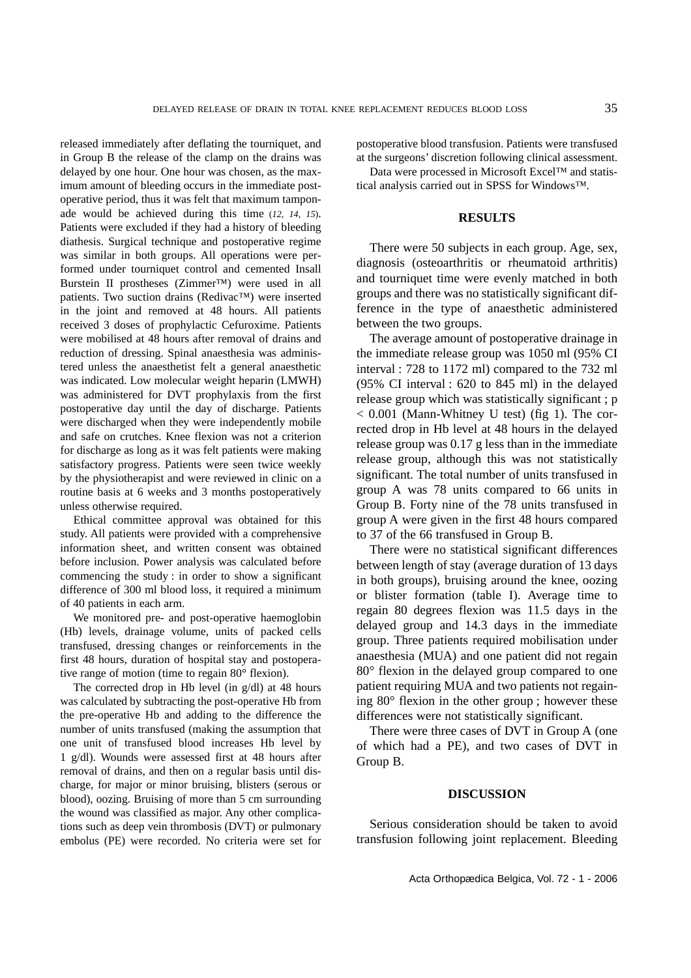released immediately after deflating the tourniquet, and in Group B the release of the clamp on the drains was delayed by one hour. One hour was chosen, as the maximum amount of bleeding occurs in the immediate postoperative period, thus it was felt that maximum tamponade would be achieved during this time (*12, 14, 15*). Patients were excluded if they had a history of bleeding diathesis. Surgical technique and postoperative regime was similar in both groups. All operations were performed under tourniquet control and cemented Insall Burstein II prostheses (Zimmer™) were used in all patients. Two suction drains (Redivac™) were inserted in the joint and removed at 48 hours. All patients received 3 doses of prophylactic Cefuroxime. Patients were mobilised at 48 hours after removal of drains and reduction of dressing. Spinal anaesthesia was administered unless the anaesthetist felt a general anaesthetic was indicated. Low molecular weight heparin (LMWH) was administered for DVT prophylaxis from the first postoperative day until the day of discharge. Patients were discharged when they were independently mobile and safe on crutches. Knee flexion was not a criterion for discharge as long as it was felt patients were making satisfactory progress. Patients were seen twice weekly by the physiotherapist and were reviewed in clinic on a routine basis at 6 weeks and 3 months postoperatively unless otherwise required.

Ethical committee approval was obtained for this study. All patients were provided with a comprehensive information sheet, and written consent was obtained before inclusion. Power analysis was calculated before commencing the study : in order to show a significant difference of 300 ml blood loss, it required a minimum of 40 patients in each arm.

We monitored pre- and post-operative haemoglobin (Hb) levels, drainage volume, units of packed cells transfused, dressing changes or reinforcements in the first 48 hours, duration of hospital stay and postoperative range of motion (time to regain 80**°** flexion).

The corrected drop in Hb level (in g/dl) at 48 hours was calculated by subtracting the post-operative Hb from the pre-operative Hb and adding to the difference the number of units transfused (making the assumption that one unit of transfused blood increases Hb level by 1 g/dl). Wounds were assessed first at 48 hours after removal of drains, and then on a regular basis until discharge, for major or minor bruising, blisters (serous or blood), oozing. Bruising of more than 5 cm surrounding the wound was classified as major. Any other complications such as deep vein thrombosis (DVT) or pulmonary embolus (PE) were recorded. No criteria were set for

postoperative blood transfusion. Patients were transfused at the surgeons' discretion following clinical assessment.

Data were processed in Microsoft Excel™ and statistical analysis carried out in SPSS for Windows™.

#### **RESULTS**

There were 50 subjects in each group. Age, sex, diagnosis (osteoarthritis or rheumatoid arthritis) and tourniquet time were evenly matched in both groups and there was no statistically significant difference in the type of anaesthetic administered between the two groups.

The average amount of postoperative drainage in the immediate release group was 1050 ml (95% CI interval : 728 to 1172 ml) compared to the 732 ml (95% CI interval : 620 to 845 ml) in the delayed release group which was statistically significant ; p  $< 0.001$  (Mann-Whitney U test) (fig 1). The corrected drop in Hb level at 48 hours in the delayed release group was 0.17 g less than in the immediate release group, although this was not statistically significant. The total number of units transfused in group A was 78 units compared to 66 units in Group B. Forty nine of the 78 units transfused in group A were given in the first 48 hours compared to 37 of the 66 transfused in Group B.

There were no statistical significant differences between length of stay (average duration of 13 days in both groups), bruising around the knee, oozing or blister formation (table I). Average time to regain 80 degrees flexion was 11.5 days in the delayed group and 14.3 days in the immediate group. Three patients required mobilisation under anaesthesia (MUA) and one patient did not regain 80° flexion in the delayed group compared to one patient requiring MUA and two patients not regaining 80° flexion in the other group ; however these differences were not statistically significant.

There were three cases of DVT in Group A (one of which had a PE), and two cases of DVT in Group B.

## **DISCUSSION**

Serious consideration should be taken to avoid transfusion following joint replacement. Bleeding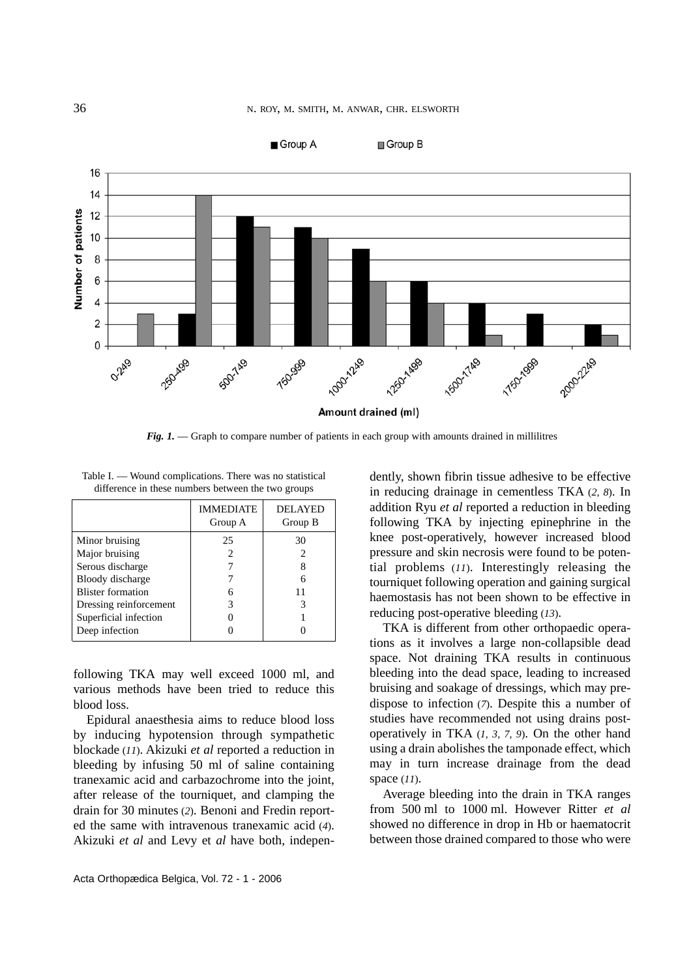

*Fig. 1.* — Graph to compare number of patients in each group with amounts drained in millilitres

|                          | <b>IMMEDIATE</b><br>Group A | <b>DELAYED</b><br>Group B |
|--------------------------|-----------------------------|---------------------------|
| Minor bruising           | 25                          | 30                        |
| Major bruising           |                             |                           |
| Serous discharge         |                             |                           |
| Bloody discharge         |                             |                           |
| <b>Blister formation</b> |                             | 11                        |
| Dressing reinforcement   |                             |                           |
| Superficial infection    |                             |                           |
| Deep infection           |                             |                           |

Table I. — Wound complications. There was no statistical difference in these numbers between the two groups

following TKA may well exceed 1000 ml, and various methods have been tried to reduce this blood loss.

Epidural anaesthesia aims to reduce blood loss by inducing hypotension through sympathetic blockade (*11*). Akizuki *et al* reported a reduction in bleeding by infusing 50 ml of saline containing tranexamic acid and carbazochrome into the joint, after release of the tourniquet, and clamping the drain for 30 minutes (*2*). Benoni and Fredin reported the same with intravenous tranexamic acid (*4*). Akizuki *et al* and Levy et *al* have both, independently, shown fibrin tissue adhesive to be effective in reducing drainage in cementless TKA (*2, 8*). In addition Ryu *et al* reported a reduction in bleeding following TKA by injecting epinephrine in the knee post-operatively, however increased blood pressure and skin necrosis were found to be potential problems (*11*). Interestingly releasing the tourniquet following operation and gaining surgical haemostasis has not been shown to be effective in reducing post-operative bleeding (*13*).

TKA is different from other orthopaedic operations as it involves a large non-collapsible dead space. Not draining TKA results in continuous bleeding into the dead space, leading to increased bruising and soakage of dressings, which may predispose to infection (*7*). Despite this a number of studies have recommended not using drains postoperatively in TKA (*1, 3, 7, 9*). On the other hand using a drain abolishes the tamponade effect, which may in turn increase drainage from the dead space (*11*).

Average bleeding into the drain in TKA ranges from 500 ml to 1000 ml. However Ritter *et al* showed no difference in drop in Hb or haematocrit between those drained compared to those who were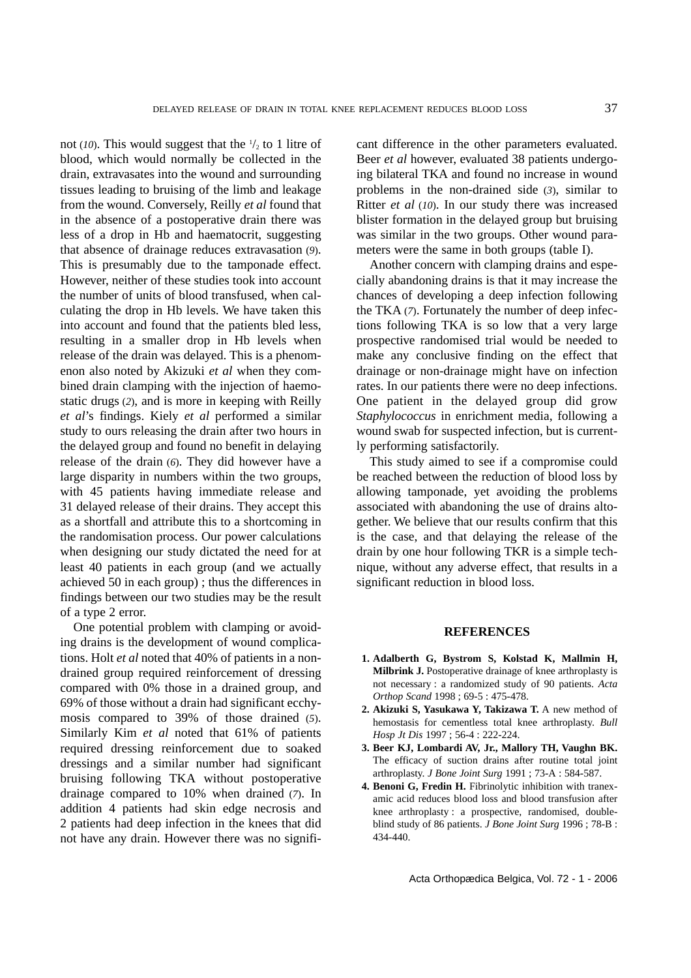not ( $10$ ). This would suggest that the  $\frac{1}{2}$  to 1 litre of blood, which would normally be collected in the drain, extravasates into the wound and surrounding tissues leading to bruising of the limb and leakage from the wound. Conversely, Reilly *et al* found that in the absence of a postoperative drain there was less of a drop in Hb and haematocrit, suggesting that absence of drainage reduces extravasation (*9*). This is presumably due to the tamponade effect. However, neither of these studies took into account the number of units of blood transfused, when calculating the drop in Hb levels. We have taken this into account and found that the patients bled less, resulting in a smaller drop in Hb levels when release of the drain was delayed. This is a phenomenon also noted by Akizuki *et al* when they combined drain clamping with the injection of haemostatic drugs (*2*), and is more in keeping with Reilly *et al*'s findings. Kiely *et al* performed a similar study to ours releasing the drain after two hours in the delayed group and found no benefit in delaying release of the drain (*6*). They did however have a large disparity in numbers within the two groups, with 45 patients having immediate release and 31 delayed release of their drains. They accept this as a shortfall and attribute this to a shortcoming in the randomisation process. Our power calculations when designing our study dictated the need for at least 40 patients in each group (and we actually achieved 50 in each group) ; thus the differences in findings between our two studies may be the result of a type 2 error.

One potential problem with clamping or avoiding drains is the development of wound complications. Holt *et al* noted that 40% of patients in a nondrained group required reinforcement of dressing compared with 0% those in a drained group, and 69% of those without a drain had significant ecchymosis compared to 39% of those drained (*5*). Similarly Kim *et al* noted that 61% of patients required dressing reinforcement due to soaked dressings and a similar number had significant bruising following TKA without postoperative drainage compared to 10% when drained (*7*). In addition 4 patients had skin edge necrosis and 2 patients had deep infection in the knees that did not have any drain. However there was no significant difference in the other parameters evaluated. Beer *et al* however, evaluated 38 patients undergoing bilateral TKA and found no increase in wound problems in the non-drained side (*3*), similar to Ritter *et al* (*10*). In our study there was increased blister formation in the delayed group but bruising was similar in the two groups. Other wound parameters were the same in both groups (table I).

Another concern with clamping drains and especially abandoning drains is that it may increase the chances of developing a deep infection following the TKA (*7*). Fortunately the number of deep infections following TKA is so low that a very large prospective randomised trial would be needed to make any conclusive finding on the effect that drainage or non-drainage might have on infection rates. In our patients there were no deep infections. One patient in the delayed group did grow *Staphylococcus* in enrichment media, following a wound swab for suspected infection, but is currently performing satisfactorily.

This study aimed to see if a compromise could be reached between the reduction of blood loss by allowing tamponade, yet avoiding the problems associated with abandoning the use of drains altogether. We believe that our results confirm that this is the case, and that delaying the release of the drain by one hour following TKR is a simple technique, without any adverse effect, that results in a significant reduction in blood loss.

## **REFERENCES**

- **1. Adalberth G, Bystrom S, Kolstad K, Mallmin H, Milbrink J.** Postoperative drainage of knee arthroplasty is not necessary : a randomized study of 90 patients. *Acta Orthop Scand* 1998 ; 69-5 : 475-478.
- **2. Akizuki S, Yasukawa Y, Takizawa T.** A new method of hemostasis for cementless total knee arthroplasty. *Bull Hosp Jt Dis* 1997 ; 56-4 : 222-224.
- **3. Beer KJ, Lombardi AV, Jr., Mallory TH, Vaughn BK.** The efficacy of suction drains after routine total joint arthroplasty. *J Bone Joint Surg* 1991 ; 73-A : 584-587.
- **4. Benoni G, Fredin H.** Fibrinolytic inhibition with tranexamic acid reduces blood loss and blood transfusion after knee arthroplasty : a prospective, randomised, doubleblind study of 86 patients. *J Bone Joint Surg* 1996 ; 78-B : 434-440.

Acta Orthopædica Belgica, Vol. 72 - 1 - 2006